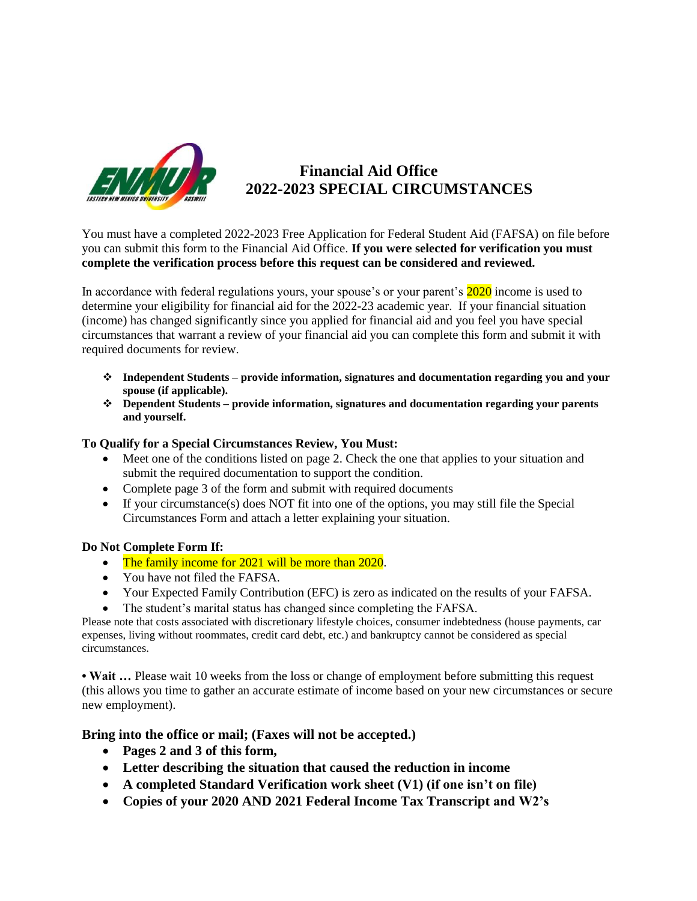

# **Financial Aid Office 2022-2023 SPECIAL CIRCUMSTANCES**

You must have a completed 2022-2023 Free Application for Federal Student Aid (FAFSA) on file before you can submit this form to the Financial Aid Office. **If you were selected for verification you must complete the verification process before this request can be considered and reviewed.**

In accordance with federal regulations yours, your spouse's or your parent's 2020 income is used to determine your eligibility for financial aid for the 2022-23 academic year. If your financial situation (income) has changed significantly since you applied for financial aid and you feel you have special circumstances that warrant a review of your financial aid you can complete this form and submit it with required documents for review.

- ❖ **Independent Students – provide information, signatures and documentation regarding you and your spouse (if applicable).**
- ❖ **Dependent Students – provide information, signatures and documentation regarding your parents and yourself.**

## **To Qualify for a Special Circumstances Review, You Must:**

- Meet one of the conditions listed on page 2. Check the one that applies to your situation and submit the required documentation to support the condition.
- Complete page 3 of the form and submit with required documents
- If your circumstance(s) does NOT fit into one of the options, you may still file the Special Circumstances Form and attach a letter explaining your situation.

## **Do Not Complete Form If:**

- The family income for 2021 will be more than 2020.
- You have not filed the FAFSA.
- Your Expected Family Contribution (EFC) is zero as indicated on the results of your FAFSA.
- The student's marital status has changed since completing the FAFSA.

Please note that costs associated with discretionary lifestyle choices, consumer indebtedness (house payments, car expenses, living without roommates, credit card debt, etc.) and bankruptcy cannot be considered as special circumstances.

• Wait ... Please wait 10 weeks from the loss or change of employment before submitting this request (this allows you time to gather an accurate estimate of income based on your new circumstances or secure new employment).

## **Bring into the office or mail; (Faxes will not be accepted.)**

- **Pages 2 and 3 of this form,**
- **Letter describing the situation that caused the reduction in income**
- **A completed Standard Verification work sheet (V1) (if one isn't on file)**
- **Copies of your 2020 AND 2021 Federal Income Tax Transcript and W2's**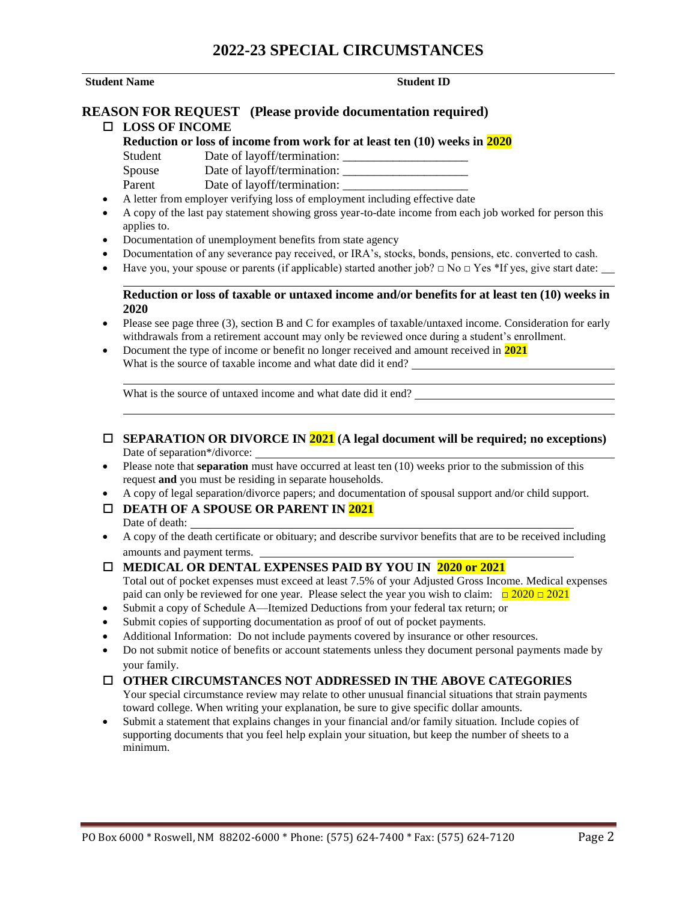# **2022-23 SPECIAL CIRCUMSTANCES**

#### **Student Name** Student ID

#### **REASON FOR REQUEST (Please provide documentation required) LOSS OF INCOME**

**Reduction or loss of income from work for at least ten (10) weeks in 2020**

Student Date of layoff/termination:

Spouse Date of layoff/termination:

Parent Date of layoff/termination:

- A letter from employer verifying loss of employment including effective date
- A copy of the last pay statement showing gross year-to-date income from each job worked for person this applies to.
- Documentation of unemployment benefits from state agency
- Documentation of any severance pay received, or IRA's, stocks, bonds, pensions, etc. converted to cash.
- Have you, your spouse or parents (if applicable) started another job?  $\Box$  No  $\Box$  Yes \*If yes, give start date:

## **Reduction or loss of taxable or untaxed income and/or benefits for at least ten (10) weeks in 2020**

- Please see page three (3), section B and C for examples of taxable/untaxed income. Consideration for early withdrawals from a retirement account may only be reviewed once during a student's enrollment.
- Document the type of income or benefit no longer received and amount received in **2021** What is the source of taxable income and what date did it end?

What is the source of untaxed income and what date did it end?

- **SEPARATION OR DIVORCE IN 2021 (A legal document will be required; no exceptions)** Date of separation\*/divorce:
- Please note that **separation** must have occurred at least ten (10) weeks prior to the submission of this request **and** you must be residing in separate households.
- A copy of legal separation/divorce papers; and documentation of spousal support and/or child support.

#### **DEATH OF A SPOUSE OR PARENT IN 2021** Date of death:

• A copy of the death certificate or obituary; and describe survivor benefits that are to be received including amounts and payment terms.

#### **MEDICAL OR DENTAL EXPENSES PAID BY YOU IN 2020 or 2021**

Total out of pocket expenses must exceed at least 7.5% of your Adjusted Gross Income. Medical expenses paid can only be reviewed for one year. Please select the year you wish to claim:  $\Box 2020 \Box 2021$ 

- Submit a copy of Schedule A—Itemized Deductions from your federal tax return; or
- Submit copies of supporting documentation as proof of out of pocket payments.
- Additional Information: Do not include payments covered by insurance or other resources.
- Do not submit notice of benefits or account statements unless they document personal payments made by your family.

# **OTHER CIRCUMSTANCES NOT ADDRESSED IN THE ABOVE CATEGORIES**

Your special circumstance review may relate to other unusual financial situations that strain payments toward college. When writing your explanation, be sure to give specific dollar amounts.

• Submit a statement that explains changes in your financial and/or family situation. Include copies of supporting documents that you feel help explain your situation, but keep the number of sheets to a minimum.

l,

l,